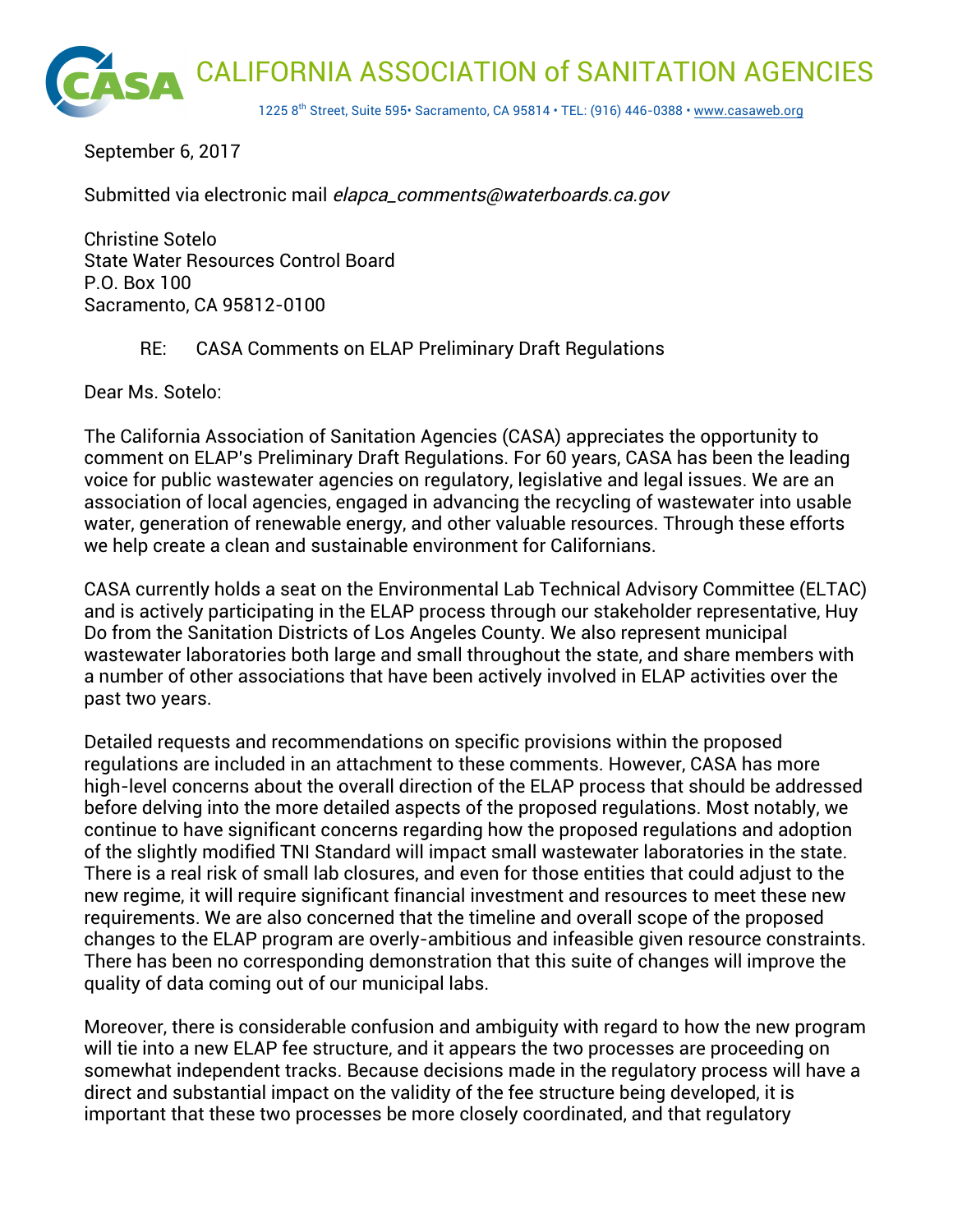

September 6, 2017

Submitted via electronic mail elapca\_comments@waterboards.ca.gov

Christine Sotelo State Water Resources Control Board P.O. Box 100 Sacramento, CA 95812-0100

#### RE: CASA Comments on ELAP Preliminary Draft Regulations

Dear Ms. Sotelo:

The California Association of Sanitation Agencies (CASA) appreciates the opportunity to comment on ELAP's Preliminary Draft Regulations. For 60 years, CASA has been the leading voice for public wastewater agencies on regulatory, legislative and legal issues. We are an association of local agencies, engaged in advancing the recycling of wastewater into usable water, generation of renewable energy, and other valuable resources. Through these efforts we help create a clean and sustainable environment for Californians.

CASA currently holds a seat on the Environmental Lab Technical Advisory Committee (ELTAC) and is actively participating in the ELAP process through our stakeholder representative, Huy Do from the Sanitation Districts of Los Angeles County. We also represent municipal wastewater laboratories both large and small throughout the state, and share members with a number of other associations that have been actively involved in ELAP activities over the past two years.

Detailed requests and recommendations on specific provisions within the proposed regulations are included in an attachment to these comments. However, CASA has more high-level concerns about the overall direction of the ELAP process that should be addressed before delving into the more detailed aspects of the proposed regulations. Most notably, we continue to have significant concerns regarding how the proposed regulations and adoption of the slightly modified TNI Standard will impact small wastewater laboratories in the state. There is a real risk of small lab closures, and even for those entities that could adjust to the new regime, it will require significant financial investment and resources to meet these new requirements. We are also concerned that the timeline and overall scope of the proposed changes to the ELAP program are overly-ambitious and infeasible given resource constraints. There has been no corresponding demonstration that this suite of changes will improve the quality of data coming out of our municipal labs.

Moreover, there is considerable confusion and ambiguity with regard to how the new program will tie into a new ELAP fee structure, and it appears the two processes are proceeding on somewhat independent tracks. Because decisions made in the regulatory process will have a direct and substantial impact on the validity of the fee structure being developed, it is important that these two processes be more closely coordinated, and that regulatory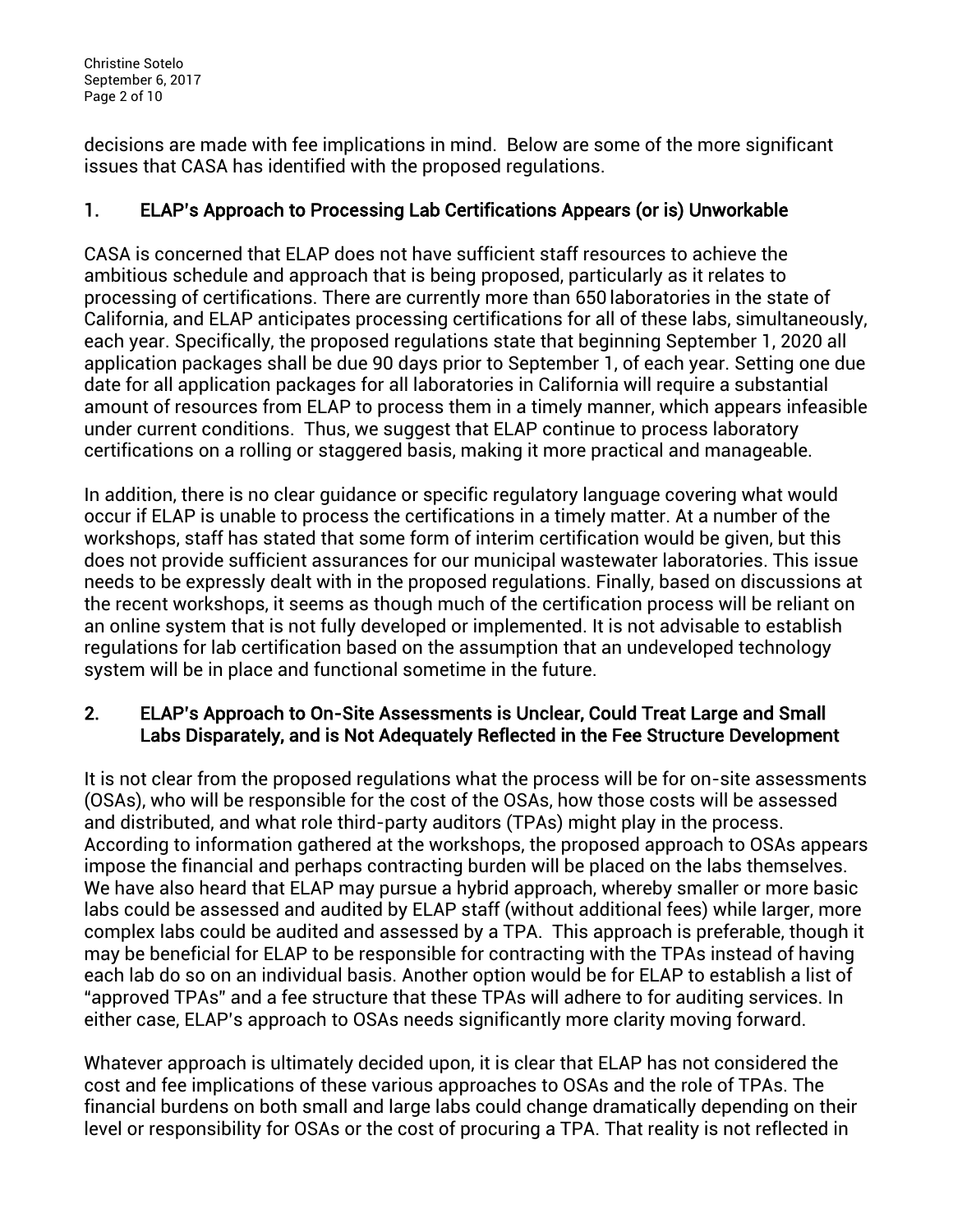Christine Sotelo September 6, 2017 Page 2 of 10

decisions are made with fee implications in mind. Below are some of the more significant issues that CASA has identified with the proposed regulations.

# 1. ELAP's Approach to Processing Lab Certifications Appears (or is) Unworkable

CASA is concerned that ELAP does not have sufficient staff resources to achieve the ambitious schedule and approach that is being proposed, particularly as it relates to processing of certifications. There are currently more than 650 laboratories in the state of California, and ELAP anticipates processing certifications for all of these labs, simultaneously, each year. Specifically, the proposed regulations state that beginning September 1, 2020 all application packages shall be due 90 days prior to September 1, of each year. Setting one due date for all application packages for all laboratories in California will require a substantial amount of resources from ELAP to process them in a timely manner, which appears infeasible under current conditions. Thus, we suggest that ELAP continue to process laboratory certifications on a rolling or staggered basis, making it more practical and manageable.

In addition, there is no clear guidance or specific regulatory language covering what would occur if ELAP is unable to process the certifications in a timely matter. At a number of the workshops, staff has stated that some form of interim certification would be given, but this does not provide sufficient assurances for our municipal wastewater laboratories. This issue needs to be expressly dealt with in the proposed regulations. Finally, based on discussions at the recent workshops, it seems as though much of the certification process will be reliant on an online system that is not fully developed or implemented. It is not advisable to establish regulations for lab certification based on the assumption that an undeveloped technology system will be in place and functional sometime in the future.

## 2. ELAP's Approach to On-Site Assessments is Unclear, Could Treat Large and Small Labs Disparately, and is Not Adequately Reflected in the Fee Structure Development

It is not clear from the proposed regulations what the process will be for on-site assessments (OSAs), who will be responsible for the cost of the OSAs, how those costs will be assessed and distributed, and what role third-party auditors (TPAs) might play in the process. According to information gathered at the workshops, the proposed approach to OSAs appears impose the financial and perhaps contracting burden will be placed on the labs themselves. We have also heard that ELAP may pursue a hybrid approach, whereby smaller or more basic labs could be assessed and audited by ELAP staff (without additional fees) while larger, more complex labs could be audited and assessed by a TPA. This approach is preferable, though it may be beneficial for ELAP to be responsible for contracting with the TPAs instead of having each lab do so on an individual basis. Another option would be for ELAP to establish a list of "approved TPAs" and a fee structure that these TPAs will adhere to for auditing services. In either case, ELAP's approach to OSAs needs significantly more clarity moving forward.

Whatever approach is ultimately decided upon, it is clear that ELAP has not considered the cost and fee implications of these various approaches to OSAs and the role of TPAs. The financial burdens on both small and large labs could change dramatically depending on their level or responsibility for OSAs or the cost of procuring a TPA. That reality is not reflected in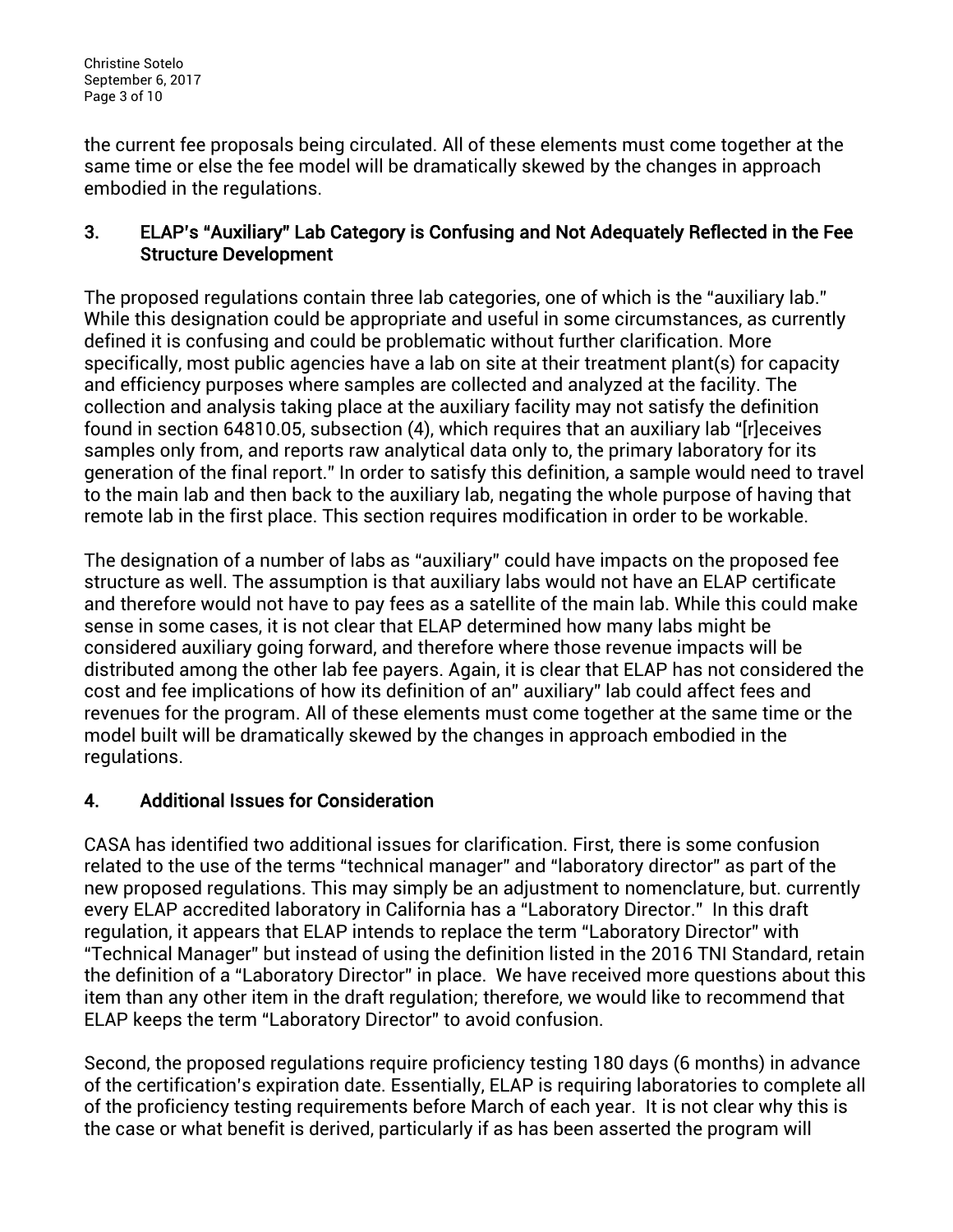Christine Sotelo September 6, 2017 Page 3 of 10

the current fee proposals being circulated. All of these elements must come together at the same time or else the fee model will be dramatically skewed by the changes in approach embodied in the regulations.

## 3. ELAP's "Auxiliary" Lab Category is Confusing and Not Adequately Reflected in the Fee Structure Development

The proposed regulations contain three lab categories, one of which is the "auxiliary lab." While this designation could be appropriate and useful in some circumstances, as currently defined it is confusing and could be problematic without further clarification. More specifically, most public agencies have a lab on site at their treatment plant(s) for capacity and efficiency purposes where samples are collected and analyzed at the facility. The collection and analysis taking place at the auxiliary facility may not satisfy the definition found in section 64810.05, subsection (4), which requires that an auxiliary lab "[r]eceives samples only from, and reports raw analytical data only to, the primary laboratory for its generation of the final report." In order to satisfy this definition, a sample would need to travel to the main lab and then back to the auxiliary lab, negating the whole purpose of having that remote lab in the first place. This section requires modification in order to be workable.

The designation of a number of labs as "auxiliary" could have impacts on the proposed fee structure as well. The assumption is that auxiliary labs would not have an ELAP certificate and therefore would not have to pay fees as a satellite of the main lab. While this could make sense in some cases, it is not clear that ELAP determined how many labs might be considered auxiliary going forward, and therefore where those revenue impacts will be distributed among the other lab fee payers. Again, it is clear that ELAP has not considered the cost and fee implications of how its definition of an" auxiliary" lab could affect fees and revenues for the program. All of these elements must come together at the same time or the model built will be dramatically skewed by the changes in approach embodied in the regulations.

# 4. Additional Issues for Consideration

CASA has identified two additional issues for clarification. First, there is some confusion related to the use of the terms "technical manager" and "laboratory director" as part of the new proposed regulations. This may simply be an adjustment to nomenclature, but. currently every ELAP accredited laboratory in California has a "Laboratory Director." In this draft regulation, it appears that ELAP intends to replace the term "Laboratory Director" with "Technical Manager" but instead of using the definition listed in the 2016 TNI Standard, retain the definition of a "Laboratory Director" in place. We have received more questions about this item than any other item in the draft regulation; therefore, we would like to recommend that ELAP keeps the term "Laboratory Director" to avoid confusion.

Second, the proposed regulations require proficiency testing 180 days (6 months) in advance of the certification's expiration date. Essentially, ELAP is requiring laboratories to complete all of the proficiency testing requirements before March of each year. It is not clear why this is the case or what benefit is derived, particularly if as has been asserted the program will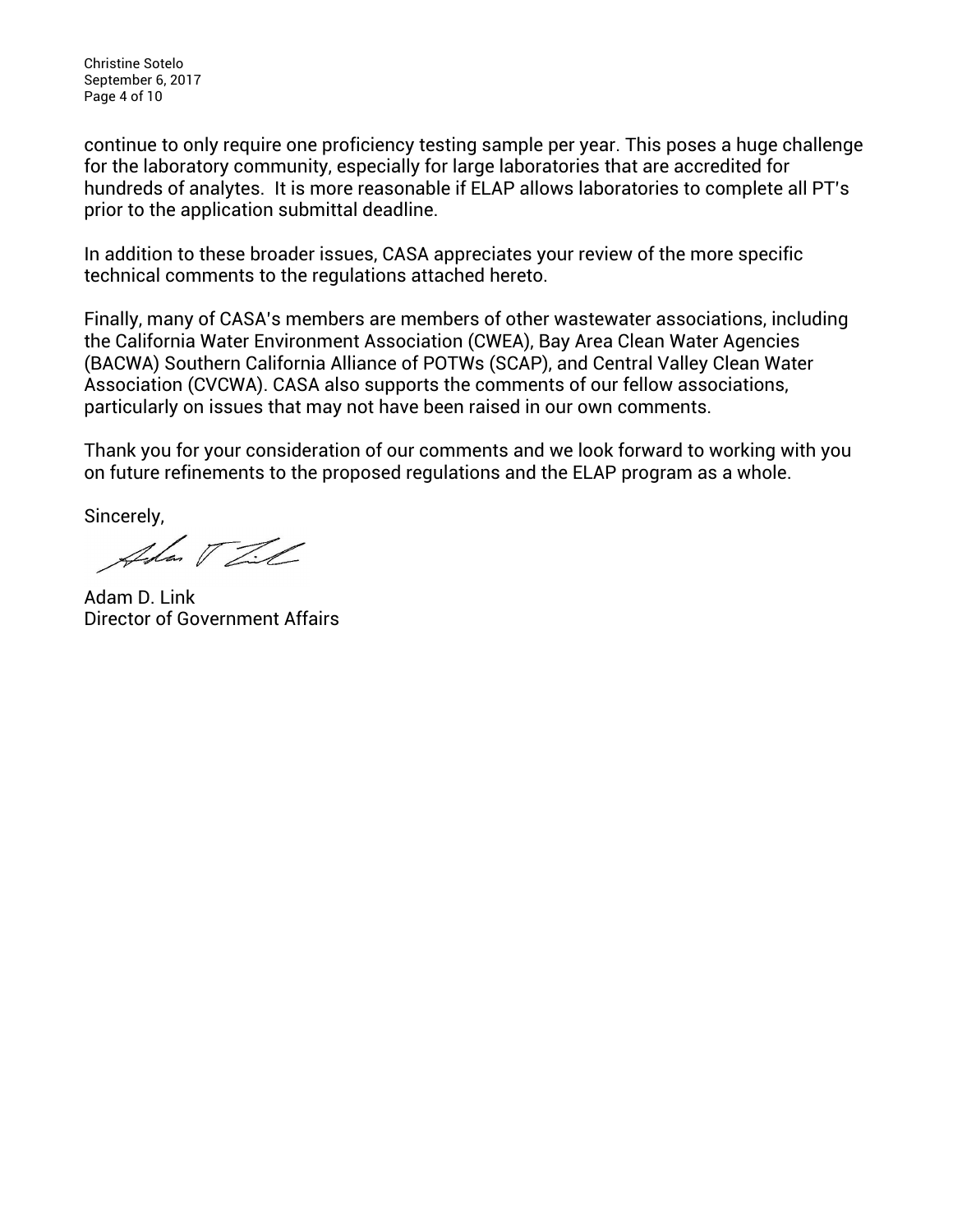Christine Sotelo September 6, 2017 Page 4 of 10

continue to only require one proficiency testing sample per year. This poses a huge challenge for the laboratory community, especially for large laboratories that are accredited for hundreds of analytes. It is more reasonable if ELAP allows laboratories to complete all PT's prior to the application submittal deadline.

In addition to these broader issues, CASA appreciates your review of the more specific technical comments to the regulations attached hereto.

Finally, many of CASA's members are members of other wastewater associations, including the California Water Environment Association (CWEA), Bay Area Clean Water Agencies (BACWA) Southern California Alliance of POTWs (SCAP), and Central Valley Clean Water Association (CVCWA). CASA also supports the comments of our fellow associations, particularly on issues that may not have been raised in our own comments.

Thank you for your consideration of our comments and we look forward to working with you on future refinements to the proposed regulations and the ELAP program as a whole.

Sincerely,

Adan V Til

Adam D. Link Director of Government Affairs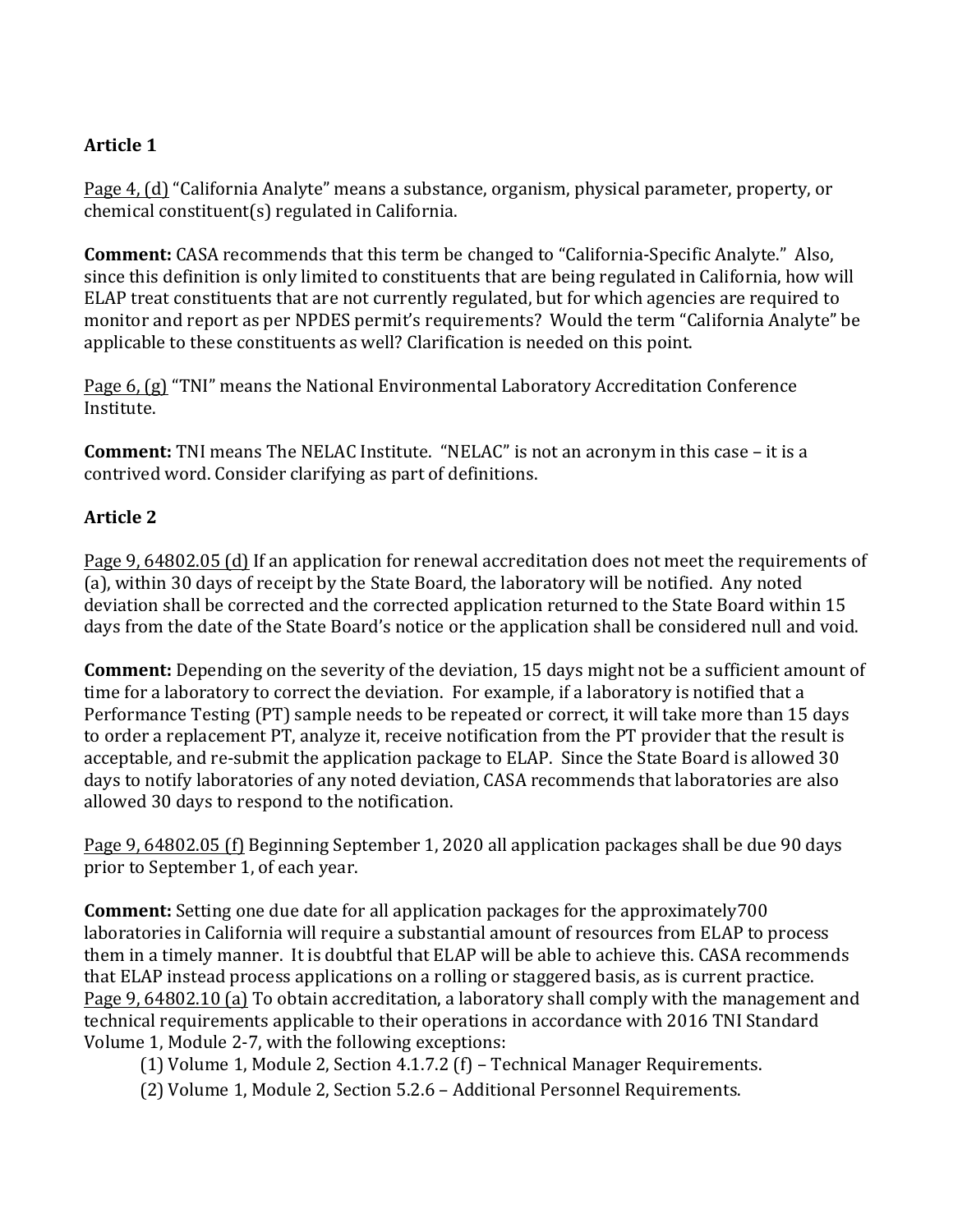### **Article 1**

Page 4, (d) "California Analyte" means a substance, organism, physical parameter, property, or  $chemical$  constituent $(s)$  regulated in California.

**Comment:** CASA recommends that this term be changed to "California-Specific Analyte." Also, since this definition is only limited to constituents that are being regulated in California, how will ELAP treat constituents that are not currently regulated, but for which agencies are required to monitor and report as per NPDES permit's requirements? Would the term "California Analyte" be applicable to these constituents as well? Clarification is needed on this point.

Page 6, (g) "TNI" means the National Environmental Laboratory Accreditation Conference Institute.

**Comment:** TNI means The NELAC Institute. "NELAC" is not an acronym in this case – it is a contrived word. Consider clarifying as part of definitions.

#### **Article 2**

Page 9, 64802.05 (d) If an application for renewal accreditation does not meet the requirements of (a), within 30 days of receipt by the State Board, the laboratory will be notified. Any noted deviation shall be corrected and the corrected application returned to the State Board within 15 days from the date of the State Board's notice or the application shall be considered null and void.

**Comment:** Depending on the severity of the deviation, 15 days might not be a sufficient amount of time for a laboratory to correct the deviation. For example, if a laboratory is notified that a Performance Testing (PT) sample needs to be repeated or correct, it will take more than 15 days to order a replacement PT, analyze it, receive notification from the PT provider that the result is acceptable, and re-submit the application package to ELAP. Since the State Board is allowed 30 days to notify laboratories of any noted deviation, CASA recommends that laboratories are also allowed 30 days to respond to the notification.

Page 9, 64802.05 (f) Beginning September 1, 2020 all application packages shall be due 90 days prior to September 1, of each year.

**Comment:** Setting one due date for all application packages for the approximately700 laboratories in California will require a substantial amount of resources from ELAP to process them in a timely manner. It is doubtful that ELAP will be able to achieve this. CASA recommends that ELAP instead process applications on a rolling or staggered basis, as is current practice. Page 9, 64802.10 (a) To obtain accreditation, a laboratory shall comply with the management and technical requirements applicable to their operations in accordance with 2016 TNI Standard Volume 1, Module 2-7, with the following exceptions:

(1) Volume 1, Module 2, Section 4.1.7.2  $(f)$  – Technical Manager Requirements.

(2) Volume 1, Module 2, Section 5.2.6 - Additional Personnel Requirements.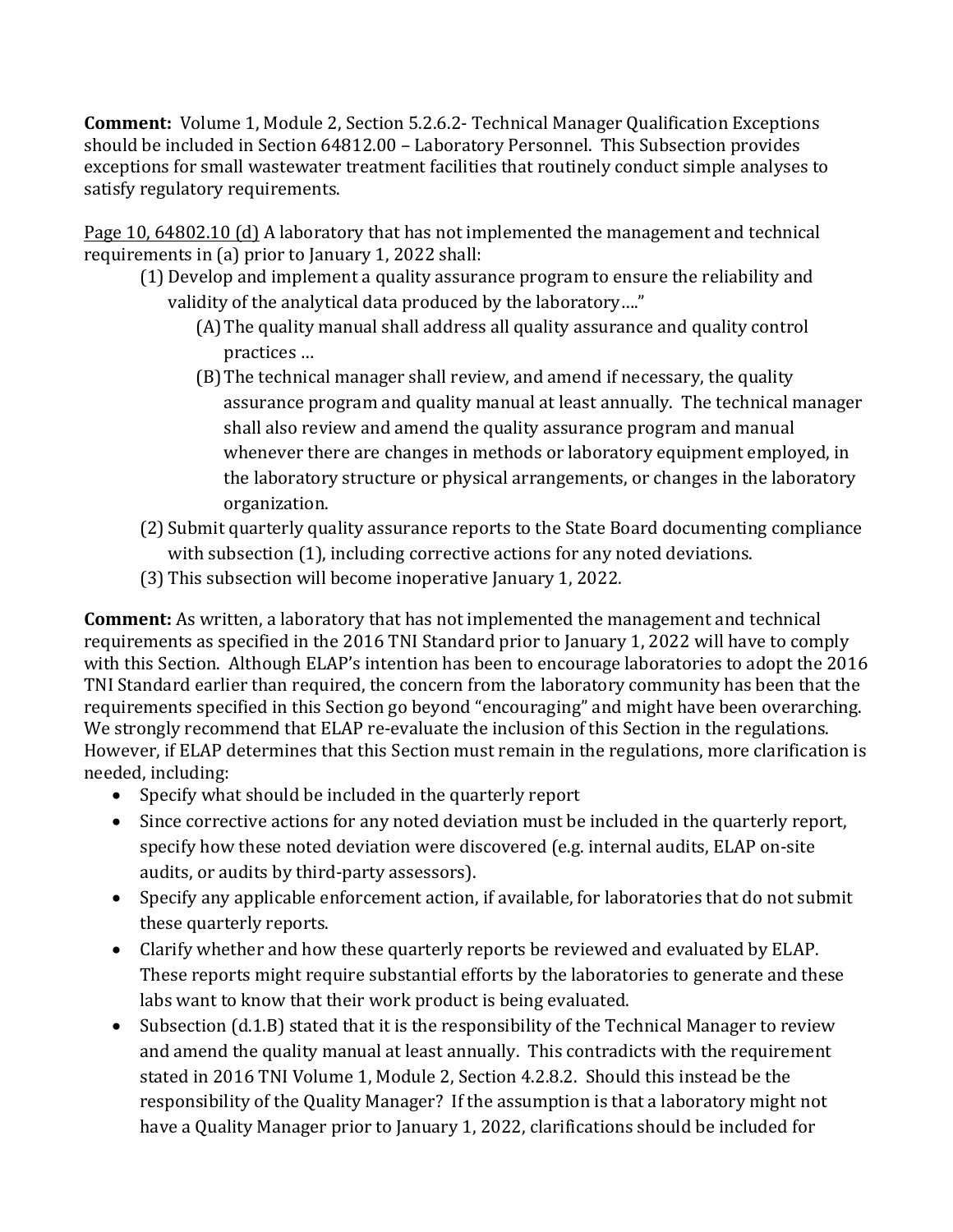**Comment:** Volume 1, Module 2, Section 5.2.6.2- Technical Manager Qualification Exceptions should be included in Section 64812.00 - Laboratory Personnel. This Subsection provides exceptions for small wastewater treatment facilities that routinely conduct simple analyses to satisfy regulatory requirements.

Page 10, 64802.10 (d) A laboratory that has not implemented the management and technical requirements in (a) prior to January 1, 2022 shall:

- (1) Develop and implement a quality assurance program to ensure the reliability and validity of the analytical data produced by the laboratory...."
	- (A) The quality manual shall address all quality assurance and quality control practices …
	- (B) The technical manager shall review, and amend if necessary, the quality assurance program and quality manual at least annually. The technical manager shall also review and amend the quality assurance program and manual whenever there are changes in methods or laboratory equipment employed, in the laboratory structure or physical arrangements, or changes in the laboratory organization.
- (2) Submit quarterly quality assurance reports to the State Board documenting compliance with subsection (1), including corrective actions for any noted deviations.
- (3) This subsection will become inoperative January 1, 2022.

**Comment:** As written, a laboratory that has not implemented the management and technical requirements as specified in the 2016 TNI Standard prior to January 1, 2022 will have to comply with this Section. Although ELAP's intention has been to encourage laboratories to adopt the 2016 TNI Standard earlier than required, the concern from the laboratory community has been that the requirements specified in this Section go beyond "encouraging" and might have been overarching. We strongly recommend that ELAP re-evaluate the inclusion of this Section in the regulations. However, if ELAP determines that this Section must remain in the regulations, more clarification is needed, including:

- Specify what should be included in the quarterly report
- Since corrective actions for any noted deviation must be included in the quarterly report, specify how these noted deviation were discovered (e.g. internal audits, ELAP on-site audits, or audits by third-party assessors).
- Specify any applicable enforcement action, if available, for laboratories that do not submit these quarterly reports.
- Clarify whether and how these quarterly reports be reviewed and evaluated by ELAP. These reports might require substantial efforts by the laboratories to generate and these labs want to know that their work product is being evaluated.
- Subsection (d.1.B) stated that it is the responsibility of the Technical Manager to review and amend the quality manual at least annually. This contradicts with the requirement stated in 2016 TNI Volume 1, Module 2, Section 4.2.8.2. Should this instead be the responsibility of the Quality Manager? If the assumption is that a laboratory might not have a Quality Manager prior to January 1, 2022, clarifications should be included for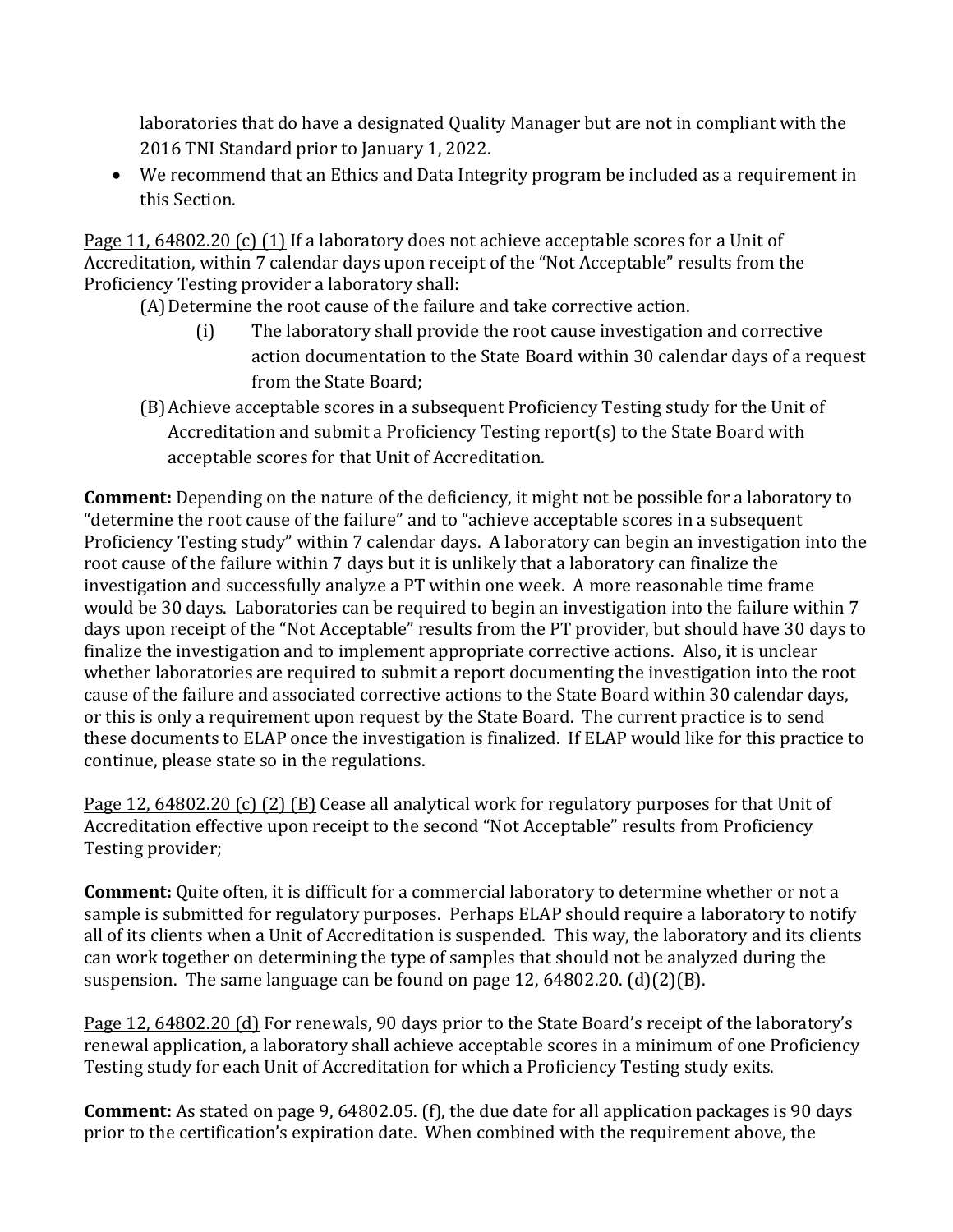laboratories that do have a designated Quality Manager but are not in compliant with the 2016 TNI Standard prior to January 1, 2022.

• We recommend that an Ethics and Data Integrity program be included as a requirement in this Section.

Page 11, 64802.20 (c) (1) If a laboratory does not achieve acceptable scores for a Unit of Accreditation, within 7 calendar days upon receipt of the "Not Acceptable" results from the Proficiency Testing provider a laboratory shall:

(A) Determine the root cause of the failure and take corrective action.

- (i) The laboratory shall provide the root cause investigation and corrective action documentation to the State Board within 30 calendar days of a request from the State Board:
- (B) Achieve acceptable scores in a subsequent Proficiency Testing study for the Unit of Accreditation and submit a Proficiency Testing report(s) to the State Board with acceptable scores for that Unit of Accreditation.

**Comment:** Depending on the nature of the deficiency, it might not be possible for a laboratory to "determine the root cause of the failure" and to "achieve acceptable scores in a subsequent Proficiency Testing study" within 7 calendar days. A laboratory can begin an investigation into the root cause of the failure within 7 days but it is unlikely that a laboratory can finalize the investigation and successfully analyze a PT within one week. A more reasonable time frame would be 30 days. Laboratories can be required to begin an investigation into the failure within 7 days upon receipt of the "Not Acceptable" results from the PT provider, but should have 30 days to finalize the investigation and to implement appropriate corrective actions. Also, it is unclear whether laboratories are required to submit a report documenting the investigation into the root cause of the failure and associated corrective actions to the State Board within 30 calendar days, or this is only a requirement upon request by the State Board. The current practice is to send these documents to ELAP once the investigation is finalized. If ELAP would like for this practice to continue, please state so in the regulations.

Page 12, 64802.20 (c) (2) (B) Cease all analytical work for regulatory purposes for that Unit of Accreditation effective upon receipt to the second "Not Acceptable" results from Proficiency Testing provider;

**Comment:** Quite often, it is difficult for a commercial laboratory to determine whether or not a sample is submitted for regulatory purposes. Perhaps ELAP should require a laboratory to notify all of its clients when a Unit of Accreditation is suspended. This way, the laboratory and its clients can work together on determining the type of samples that should not be analyzed during the suspension. The same language can be found on page 12, 64802.20.  $(d)(2)(B)$ .

Page 12, 64802.20 (d) For renewals, 90 days prior to the State Board's receipt of the laboratory's renewal application, a laboratory shall achieve acceptable scores in a minimum of one Proficiency Testing study for each Unit of Accreditation for which a Proficiency Testing study exits.

**Comment:** As stated on page 9, 64802.05. (f), the due date for all application packages is 90 days prior to the certification's expiration date. When combined with the requirement above, the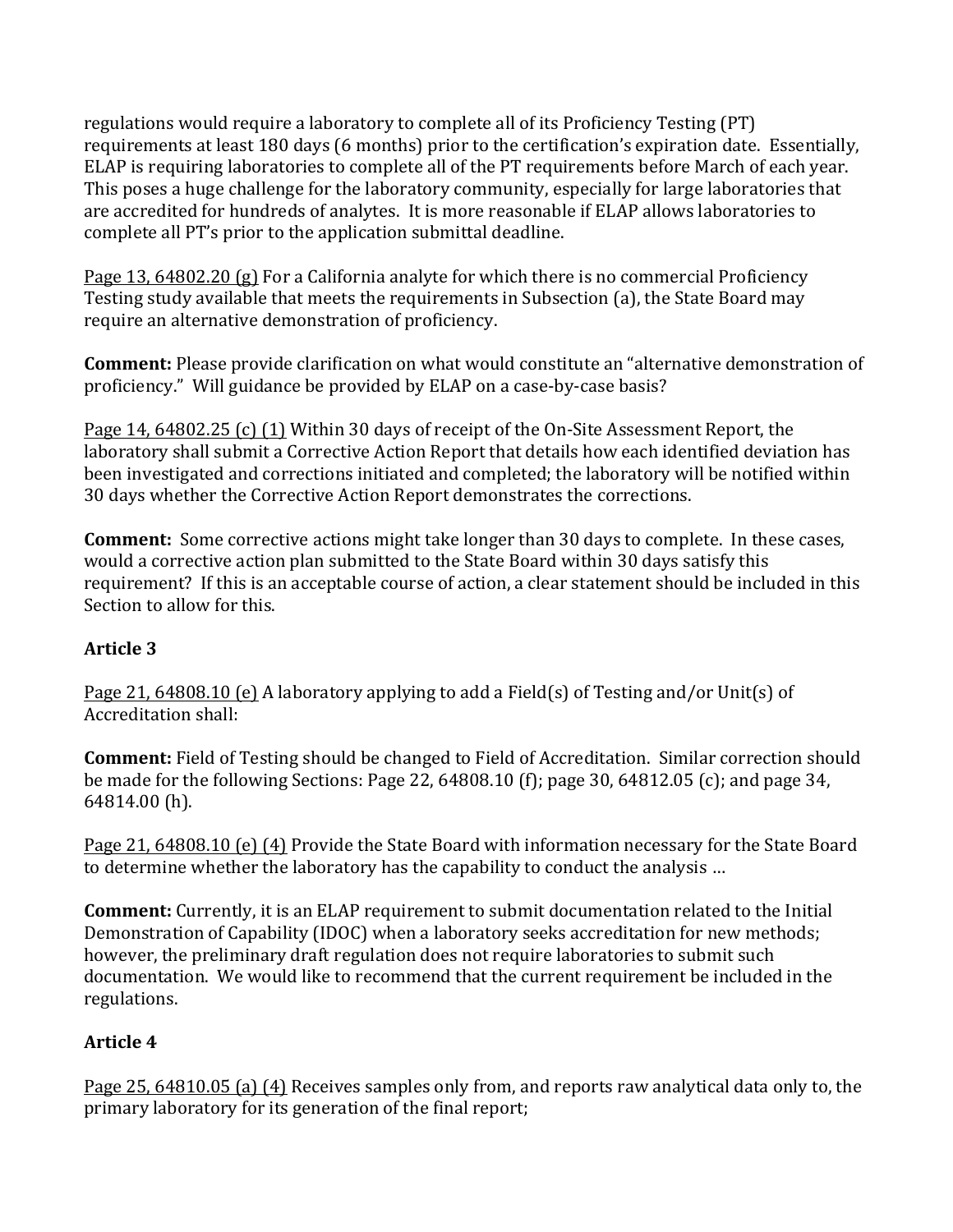regulations would require a laboratory to complete all of its Proficiency Testing (PT) requirements at least 180 days (6 months) prior to the certification's expiration date. Essentially, ELAP is requiring laboratories to complete all of the PT requirements before March of each year. This poses a huge challenge for the laboratory community, especially for large laboratories that are accredited for hundreds of analytes. It is more reasonable if ELAP allows laboratories to complete all PT's prior to the application submittal deadline.

Page 13, 64802.20 (g) For a California analyte for which there is no commercial Proficiency Testing study available that meets the requirements in Subsection (a), the State Board may require an alternative demonstration of proficiency.

**Comment:** Please provide clarification on what would constitute an "alternative demonstration of proficiency." Will guidance be provided by ELAP on a case-by-case basis?

Page 14, 64802.25 (c) (1) Within 30 days of receipt of the On-Site Assessment Report, the laboratory shall submit a Corrective Action Report that details how each identified deviation has been investigated and corrections initiated and completed; the laboratory will be notified within 30 days whether the Corrective Action Report demonstrates the corrections.

**Comment:** Some corrective actions might take longer than 30 days to complete. In these cases, would a corrective action plan submitted to the State Board within 30 days satisfy this requirement? If this is an acceptable course of action, a clear statement should be included in this Section to allow for this.

### **Article 3**

Page 21, 64808.10 (e) A laboratory applying to add a Field(s) of Testing and/or Unit(s) of Accreditation shall:

**Comment:** Field of Testing should be changed to Field of Accreditation. Similar correction should be made for the following Sections: Page 22, 64808.10 (f); page 30, 64812.05 (c); and page 34, 64814.00 (h).

Page 21, 64808.10 (e) (4) Provide the State Board with information necessary for the State Board to determine whether the laboratory has the capability to conduct the analysis ...

**Comment:** Currently, it is an ELAP requirement to submit documentation related to the Initial Demonstration of Capability (IDOC) when a laboratory seeks accreditation for new methods; however, the preliminary draft regulation does not require laboratories to submit such documentation. We would like to recommend that the current requirement be included in the regulations.

# **Article 4**

Page 25, 64810.05 (a) (4) Receives samples only from, and reports raw analytical data only to, the primary laboratory for its generation of the final report;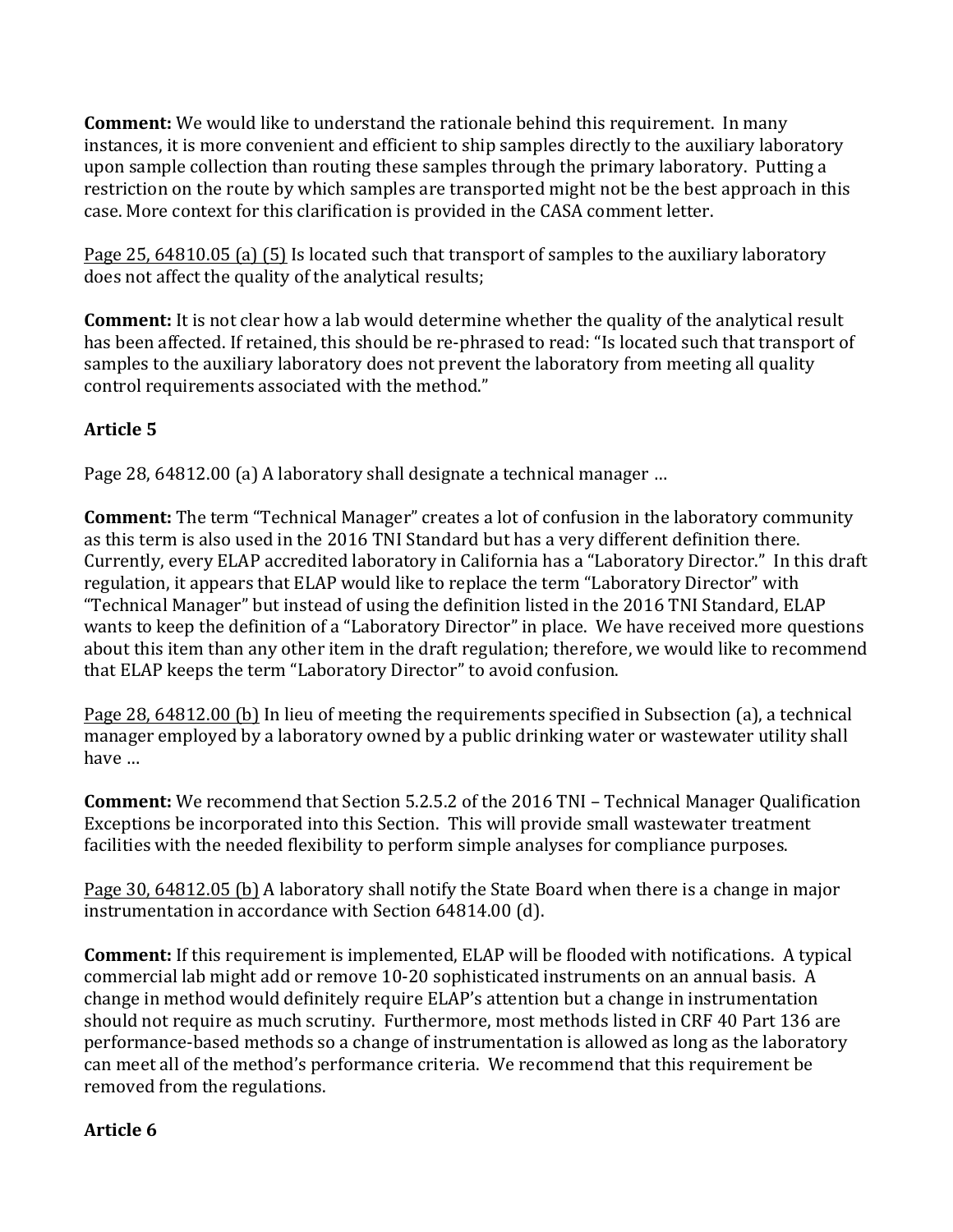**Comment:** We would like to understand the rationale behind this requirement. In many instances, it is more convenient and efficient to ship samples directly to the auxiliary laboratory upon sample collection than routing these samples through the primary laboratory. Putting a restriction on the route by which samples are transported might not be the best approach in this case. More context for this clarification is provided in the CASA comment letter.

Page 25, 64810.05 (a) (5) Is located such that transport of samples to the auxiliary laboratory does not affect the quality of the analytical results;

**Comment:** It is not clear how a lab would determine whether the quality of the analytical result has been affected. If retained, this should be re-phrased to read: "Is located such that transport of samples to the auxiliary laboratory does not prevent the laboratory from meeting all quality control requirements associated with the method."

## **Article 5**

Page 28, 64812.00 (a) A laboratory shall designate a technical manager ...

**Comment:** The term "Technical Manager" creates a lot of confusion in the laboratory community as this term is also used in the 2016 TNI Standard but has a very different definition there. Currently, every ELAP accredited laboratory in California has a "Laboratory Director." In this draft regulation, it appears that ELAP would like to replace the term "Laboratory Director" with "Technical Manager" but instead of using the definition listed in the 2016 TNI Standard, ELAP wants to keep the definition of a "Laboratory Director" in place. We have received more questions about this item than any other item in the draft regulation; therefore, we would like to recommend that ELAP keeps the term "Laboratory Director" to avoid confusion.

Page 28, 64812.00 (b) In lieu of meeting the requirements specified in Subsection (a), a technical manager employed by a laboratory owned by a public drinking water or wastewater utility shall have ...

**Comment:** We recommend that Section 5.2.5.2 of the 2016 TNI – Technical Manager Qualification Exceptions be incorporated into this Section. This will provide small wastewater treatment facilities with the needed flexibility to perform simple analyses for compliance purposes.

Page 30, 64812.05 (b) A laboratory shall notify the State Board when there is a change in major instrumentation in accordance with Section 64814.00 (d).

**Comment:** If this requirement is implemented, ELAP will be flooded with notifications. A typical commercial lab might add or remove 10-20 sophisticated instruments on an annual basis. A change in method would definitely require ELAP's attention but a change in instrumentation should not require as much scrutiny. Furthermore, most methods listed in CRF 40 Part 136 are performance-based methods so a change of instrumentation is allowed as long as the laboratory can meet all of the method's performance criteria. We recommend that this requirement be removed from the regulations.

### **Article 6**